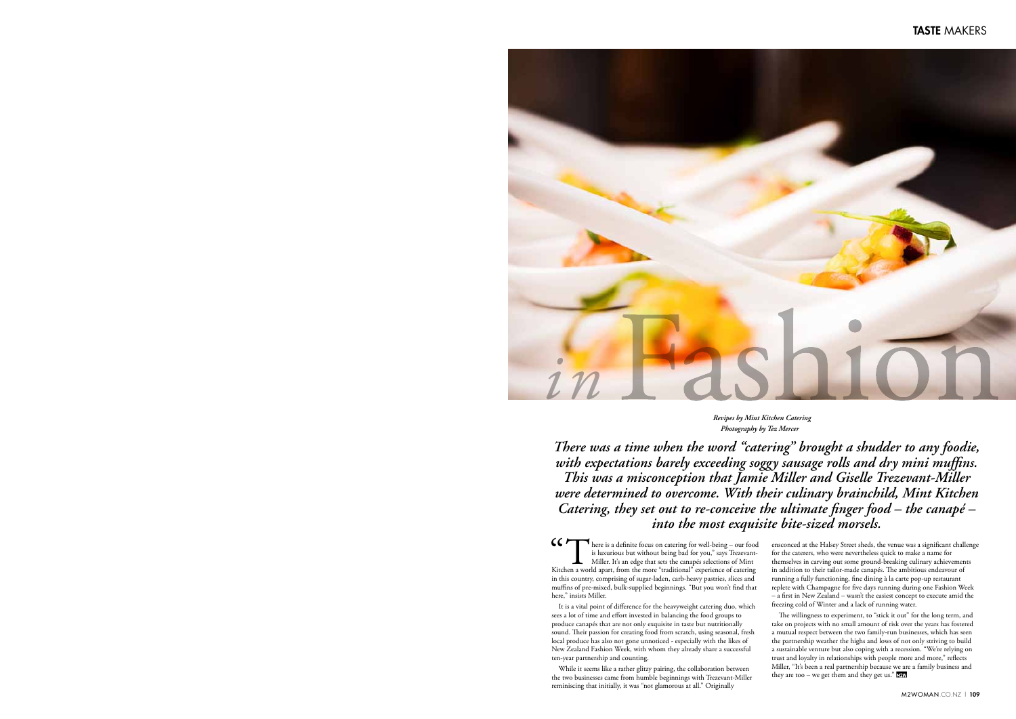#### TASTE MAKERS



*Revipes by Mint Kitchen Catering Photography by Tez Mercer*

*There was a time when the word "catering" brought a shudder to any foodie, with expectations barely exceeding soggy sausage rolls and dry mini muffins. This was a misconception that Jamie Miller and Giselle Trezevant-Miller were determined to overcome. With their culinary brainchild, Mint Kitchen Catering, they set out to re-conceive the ultimate finger food – the canapé – into the most exquisite bite-sized morsels.*

GC There is a definite focus on catering for well-being – our food<br>is luxurious but without being bad for you," says Trezevant-<br>Miller. It's an edge that sets the canapés selections of Mint<br>Kitchen a world apart, from the is luxurious but without being bad for you," says Trezevant-Miller. It's an edge that sets the canapés selections of Mint Kitchen a world apart, from the more "traditional" experience of catering in this country, comprising of sugar-laden, carb-heavy pastries, slices and muffins of pre-mixed, bulk-supplied beginnings. "But you won't find that here," insists Miller.

> The willingness to experiment, to "stick it out" for the long term, and take on projects with no small amount of risk over the years has fostered a mutual respect between the two family-run businesses, which has seen the partnership weather the highs and lows of not only striving to build a sustainable venture but also coping with a recession. "We're relying on trust and loyalty in relationships with people more and more," reflects Miller, "It's been a real partnership because we are a family business and they are too – we get them and they get us."

It is a vital point of difference for the heavyweight catering duo, which sees a lot of time and effort invested in balancing the food groups to produce canapés that are not only exquisite in taste but nutritionally sound. Their passion for creating food from scratch, using seasonal, fresh local produce has also not gone unnoticed - especially with the likes of New Zealand Fashion Week, with whom they already share a successful ten-year partnership and counting.

While it seems like a rather glitzy pairing, the collaboration between the two businesses came from humble beginnings with Trezevant-Miller reminiscing that initially, it was "not glamorous at all." Originally

ensconced at the Halsey Street sheds, the venue was a significant challenge for the caterers, who were nevertheless quick to make a name for themselves in carving out some ground-breaking culinary achievements in addition to their tailor-made canapés. The ambitious endeavour of running a fully functioning, fine dining à la carte pop-up restaurant replete with Champagne for five days running during one Fashion Week – a first in New Zealand – wasn't the easiest concept to execute amid the freezing cold of Winter and a lack of running water.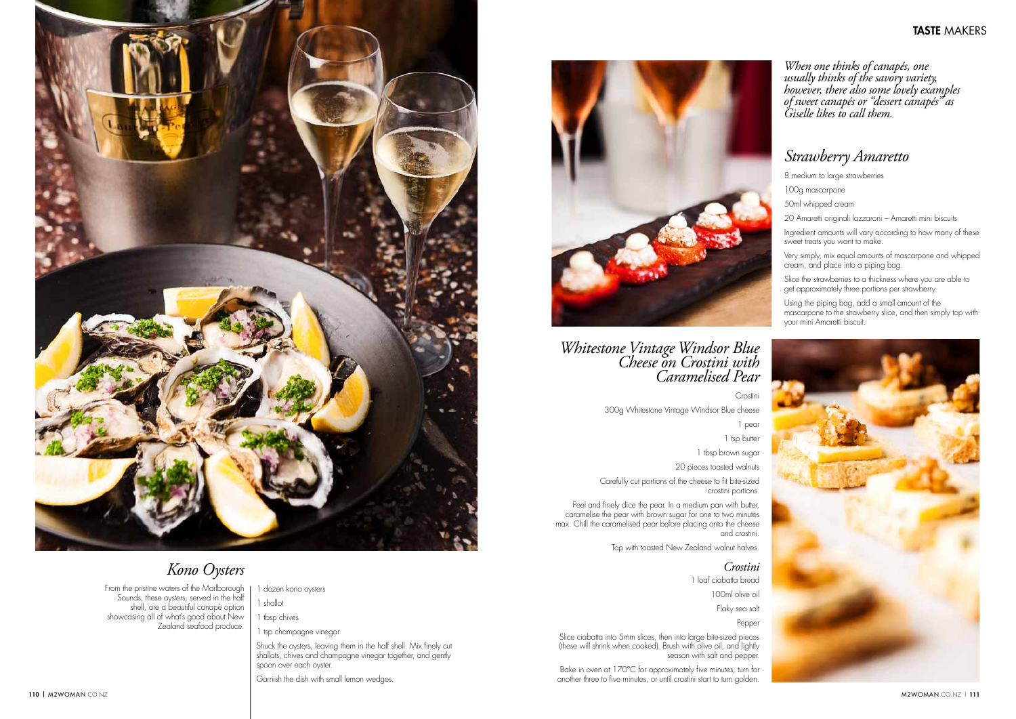#### TASTE MAKERS



# *Kono Oysters*

From the pristine waters of the Marlborough Sounds, these oysters, served in the half shell, are a beautiful canapé option showcasing all of what's good about New Zealand seafood produce.

## *Strawberry Amaretto*

8 medium to large strawberries

Slice the strawberries to a thickness where you are able to get approximately three portions per strawberry.

100g mascarpone

50ml whipped cream

20 Amaretti originali lazzaroni – Amaretti mini biscuits

Ingredient amounts will vary according to how many of these sweet treats you want to make.

Very simply, mix equal amounts of mascarpone and whipped cream, and place into a piping bag.

Peel and finely dice the pear. In a medium pan with butter, caramelise the pear with brown sugar for one to two minutes max. Chill the caramelised pear before placing onto the cheese and crostini.

Using the piping bag, add a small amount of the mascarpone to the strawberry slice, and then simply top with your mini Amaretti biscuit.



*Whitestone Vintage Windsor Blue Cheese on Crostini with Caramelised Pear*

Crostini

300g Whitestone Vintage Windsor Blue cheese

1 pear

1 tsp butter

1 tbsp brown sugar

20 pieces toasted walnuts

Carefully cut portions of the cheese to fit bite-sized crostini portions.

Top with toasted New Zealand walnut halves.

#### *Crostini*

1 loaf ciabatta bread

100ml olive oil

Flaky sea salt

Pepper

Slice ciabatta into 5mm slices, then into large bite-sized pieces (these will shrink when cooked). Brush with olive oil, and lightly season with salt and pepper.

Bake in oven at 170°C for approximately five minutes, turn for another three to five minutes, or until crostini start to turn golden.

*When one thinks of canapés, one usually thinks of the savory variety, however, there also some lovely examples of sweet canapés or "dessert canapés" as Giselle likes to call them.*

- 1 dozen kono oysters
- 1 shallot
- 1 tbsp chives
- 1 tsp champagne vinegar

Shuck the oysters, leaving them in the half shell. Mix finely cut shallots, chives and champagne vinegar together, and gently spoon over each oyster.

Garnish the dish with small lemon wedges.

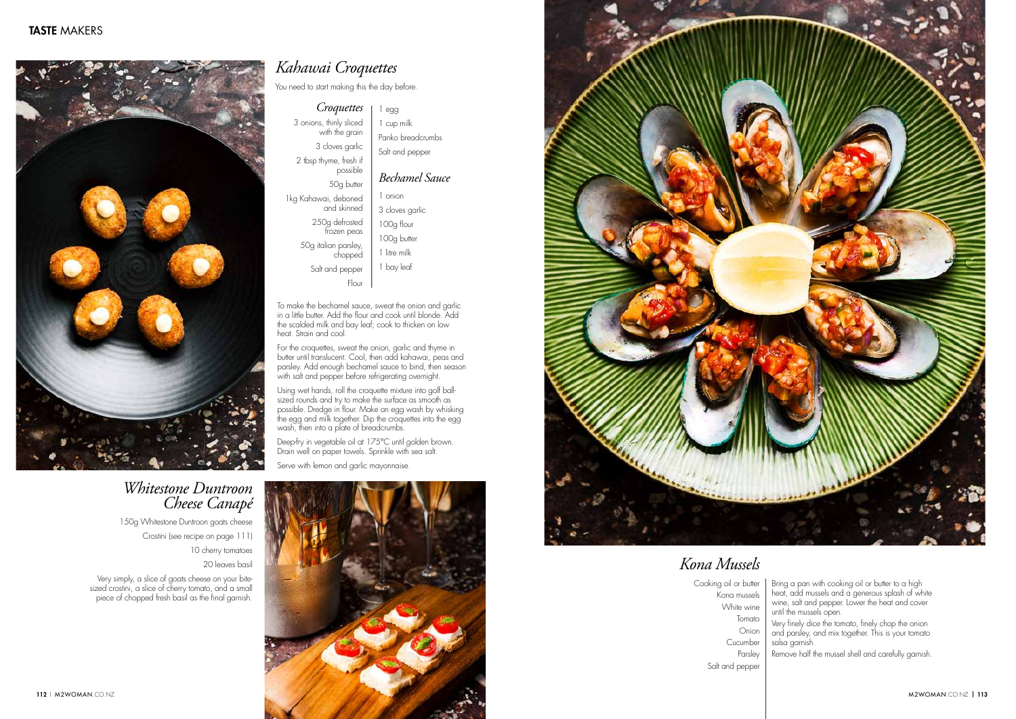

## *Whitestone Duntroon Cheese Canapé*

150g Whitestone Duntroon goats cheese Crostini (see recipe on page 111)

10 cherry tomatoes

20 leaves basil

Very simply, a slice of goats cheese on your bitesized crostini, a slice of cherry tomato, and a small piece of chopped fresh basil as the final garnish.

*Croquettes* 3 onions, thinly sliced with the grain 3 cloves garlic 2 tbsp thyme, fresh if possible 50g butter 1kg Kahawai, deboned

and skinned 250g defrosted frozen peas 50g italian parsley, chopped Salt and pepper

Flour

# *Kahawai Croquettes*

You need to start making this the day before.

To make the bechamel sauce, sweat the onion and garlic in a little butter. Add the flour and cook until blonde. Add the scalded milk and bay leaf; cook to thicken on low heat. Strain and cool.

For the croquettes, sweat the onion, garlic and thyme in butter until translucent. Cool, then add kahawai, peas and parsley. Add enough bechamel sauce to bind, then season with salt and pepper before refrigerating overnight.

Using wet hands, roll the croquette mixture into golf ballsized rounds and try to make the surface as smooth as possible. Dredge in flour. Make an egg wash by whisking the egg and milk together. Dip the croquettes into the egg wash, then into a plate of breadcrumbs.

Deep-fry in vegetable oil at 175°C until golden brown. Drain well on paper towels. Sprinkle with sea salt.

Serve with lemon and garlic mayonnaise.





1 egg 1 cup milk Panko breadcrumbs Salt and pepper

### *Bechamel Sauce*

1 onion 3 cloves garlic 100g flour 100g butter 1 litre milk 1 bay leaf

# *Kona Mussels*

Cooking oil or butter Kona mussels White wine Tomato Onion Cucumber Parsley Salt and pepper

- Bring a pan with cooking oil or butter to a high heat, add mussels and a generous splash of white wine, salt and pepper. Lower the heat and cover until the mussels open.
- Very finely dice the tomato, finely chop the onion and parsley, and mix together. This is your tomato salsa garnish.
- Remove half the mussel shell and carefully garnish.